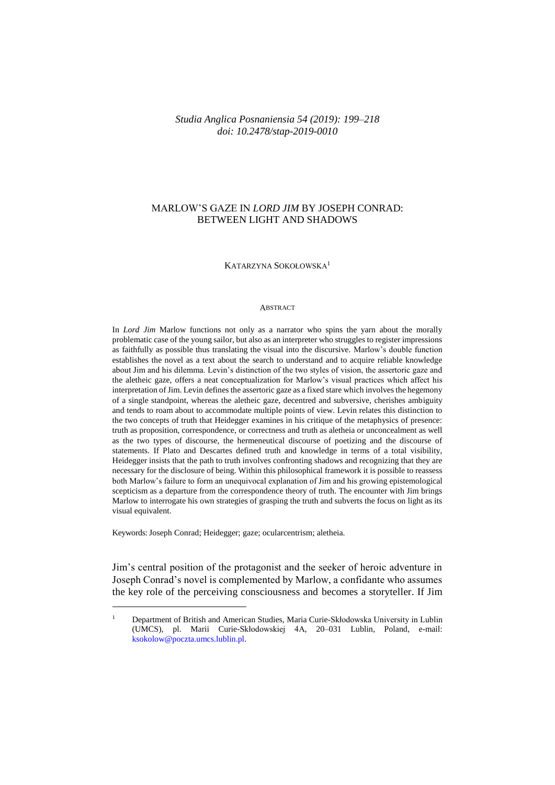## *Studia Anglica Posnaniensia 54 (2019): 199–218 doi: 10.2478/stap-2019-0010*

# MARLOW'S GAZE IN *LORD JIM* BY JOSEPH CONRAD: BETWEEN LIGHT AND SHADOWS

### KATARZYNA SOKOŁOWSKA<sup>1</sup>

#### ABSTRACT

In *Lord Jim* Marlow functions not only as a narrator who spins the yarn about the morally problematic case of the young sailor, but also as an interpreter who struggles to register impressions as faithfully as possible thus translating the visual into the discursive. Marlow's double function establishes the novel as a text about the search to understand and to acquire reliable knowledge about Jim and his dilemma. Levin's distinction of the two styles of vision, the assertoric gaze and the aletheic gaze, offers a neat conceptualization for Marlow's visual practices which affect his interpretation of Jim. Levin defines the assertoric gaze as a fixed stare which involves the hegemony of a single standpoint, whereas the aletheic gaze, decentred and subversive, cherishes ambiguity and tends to roam about to accommodate multiple points of view. Levin relates this distinction to the two concepts of truth that Heidegger examines in his critique of the metaphysics of presence: truth as proposition, correspondence, or correctness and truth as aletheia or unconcealment as well as the two types of discourse, the hermeneutical discourse of poetizing and the discourse of statements. If Plato and Descartes defined truth and knowledge in terms of a total visibility, Heidegger insists that the path to truth involves confronting shadows and recognizing that they are necessary for the disclosure of being. Within this philosophical framework it is possible to reassess both Marlow's failure to form an unequivocal explanation of Jim and his growing epistemological scepticism as a departure from the correspondence theory of truth. The encounter with Jim brings Marlow to interrogate his own strategies of grasping the truth and subverts the focus on light as its visual equivalent.

Keywords: Joseph Conrad; Heidegger; gaze; ocularcentrism; aletheia.

 $\overline{a}$ 

Jim's central position of the protagonist and the seeker of heroic adventure in Joseph Conrad's novel is complemented by Marlow, a confidante who assumes the key role of the perceiving consciousness and becomes a storyteller. If Jim

<sup>1</sup> Department of British and American Studies, Maria Curie-Skłodowska University in Lublin (UMCS), pl. Marii Curie-Skłodowskiej 4A, 20–031 Lublin, Poland, e-mail: [ksokolow@poczta.umcs.lublin.pl.](mailto:ksokolow@poczta.umcs.lublin.pl)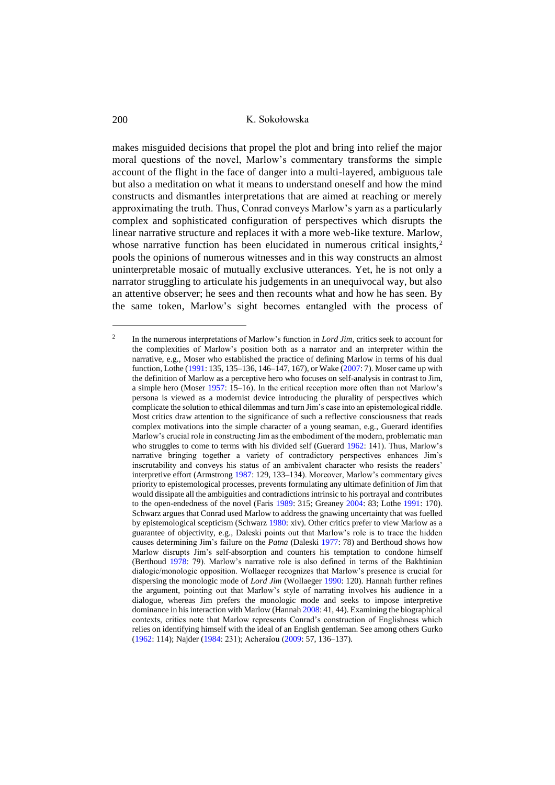makes misguided decisions that propel the plot and bring into relief the major moral questions of the novel, Marlow's commentary transforms the simple account of the flight in the face of danger into a multi-layered, ambiguous tale but also a meditation on what it means to understand oneself and how the mind constructs and dismantles interpretations that are aimed at reaching or merely approximating the truth. Thus, Conrad conveys Marlow's yarn as a particularly complex and sophisticated configuration of perspectives which disrupts the linear narrative structure and replaces it with a more web-like texture. Marlow, whose narrative function has been elucidated in numerous critical insights,<sup>2</sup> pools the opinions of numerous witnesses and in this way constructs an almost uninterpretable mosaic of mutually exclusive utterances. Yet, he is not only a narrator struggling to articulate his judgements in an unequivocal way, but also an attentive observer; he sees and then recounts what and how he has seen. By the same token, Marlow's sight becomes entangled with the process of

<sup>2</sup> In the numerous interpretations of Marlow's function in *Lord Jim,* critics seek to account for the complexities of Marlow's position both as a narrator and an interpreter within the narrative, e.g., Moser who established the practice of defining Marlow in terms of his dual function, Lothe [\(1991:](#page-19-0) 135, 135–136, 146–147, 167), or Wake [\(2007:](#page-19-1) 7). Moser came up with the definition of Marlow as a perceptive hero who focuses on self-analysis in contrast to Jim, a simple hero (Moser [1957:](#page-19-2) 15–16). In the critical reception more often than not Marlow's persona is viewed as a modernist device introducing the plurality of perspectives which complicate the solution to ethical dilemmas and turn Jim's case into an epistemological riddle. Most critics draw attention to the significance of such a reflective consciousness that reads complex motivations into the simple character of a young seaman, e.g., Guerard identifies Marlow's crucial role in constructing Jim as the embodiment of the modern, problematic man who struggles to come to terms with his divided self (Guerard [1962:](#page-19-3) 141). Thus, Marlow's narrative bringing together a variety of contradictory perspectives enhances Jim's inscrutability and conveys his status of an ambivalent character who resists the readers' interpretive effort (Armstrong [1987:](#page-18-0) 129, 133–134). Moreover, Marlow's commentary gives priority to epistemological processes, prevents formulating any ultimate definition of Jim that would dissipate all the ambiguities and contradictions intrinsic to his portrayal and contributes to the open-endedness of the novel (Faris [1989:](#page-18-1) 315; Greaney [2004:](#page-19-4) 83; Lothe [1991:](#page-19-0) 170). Schwarz argues that Conrad used Marlow to address the gnawing uncertainty that was fuelled by epistemological scepticism (Schwarz [1980:](#page-19-5) xiv). Other critics prefer to view Marlow as a guarantee of objectivity, e.g., Daleski points out that Marlow's role is to trace the hidden causes determining Jim's failure on the *Patna* (Dalesk[i 1977:](#page-18-2) 78) and Berthoud shows how Marlow disrupts Jim's self-absorption and counters his temptation to condone himself (Berthoud [1978:](#page-18-3) 79). Marlow's narrative role is also defined in terms of the Bakhtinian dialogic/monologic opposition. Wollaeger recognizes that Marlow's presence is crucial for dispersing the monologic mode of *Lord Jim* (Wollaeger [1990:](#page-19-6) 120). Hannah further refines the argument, pointing out that Marlow's style of narrating involves his audience in a dialogue, whereas Jim prefers the monologic mode and seeks to impose interpretive dominance in his interaction with Marlow (Hanna[h 2008:](#page-19-7) 41, 44). Examining the biographical contexts, critics note that Marlow represents Conrad's construction of Englishness which relies on identifying himself with the ideal of an English gentleman. See among others Gurko [\(1962:](#page-19-8) 114); Najder [\(1984:](#page-19-9) 231); Acheraïou [\(2009:](#page-18-4) 57, 136–137).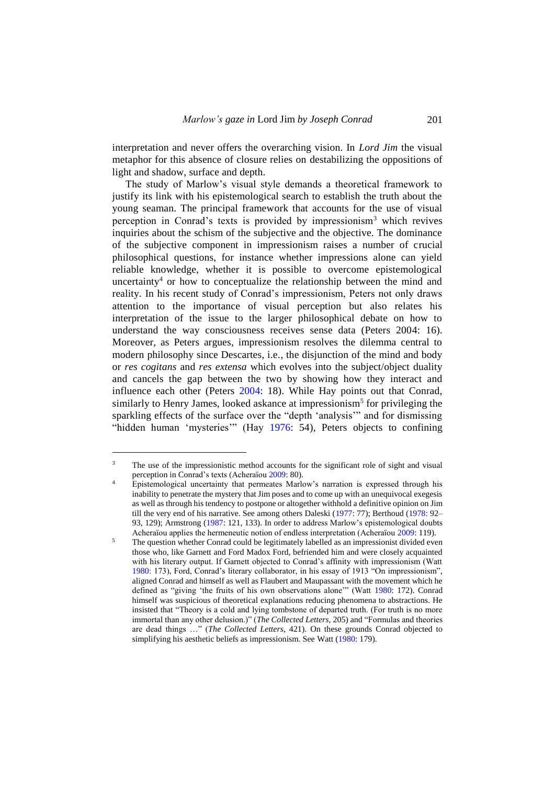interpretation and never offers the overarching vision. In *Lord Jim* the visual metaphor for this absence of closure relies on destabilizing the oppositions of light and shadow, surface and depth.

The study of Marlow's visual style demands a theoretical framework to justify its link with his epistemological search to establish the truth about the young seaman. The principal framework that accounts for the use of visual perception in Conrad's texts is provided by impressionism<sup>3</sup> which revives inquiries about the schism of the subjective and the objective. The dominance of the subjective component in impressionism raises a number of crucial philosophical questions, for instance whether impressions alone can yield reliable knowledge, whether it is possible to overcome epistemological uncertainty<sup>4</sup> or how to conceptualize the relationship between the mind and reality. In his recent study of Conrad's impressionism, Peters not only draws attention to the importance of visual perception but also relates his interpretation of the issue to the larger philosophical debate on how to understand the way consciousness receives sense data (Peters 2004: 16). Moreover, as Peters argues, impressionism resolves the dilemma central to modern philosophy since Descartes, i.e., the disjunction of the mind and body or *res cogitans* and *res extensa* which evolves into the subject/object duality and cancels the gap between the two by showing how they interact and influence each other (Peters [2004:](#page-19-10) 18). While Hay points out that Conrad, similarly to Henry James, looked askance at impressionism<sup>5</sup> for privileging the sparkling effects of the surface over the "depth 'analysis'" and for dismissing "hidden human 'mysteries'" (Hay [1976:](#page-19-11) 54), Peters objects to confining

<sup>&</sup>lt;sup>3</sup> The use of the impressionistic method accounts for the significant role of sight and visual perception in Conrad's texts (Acheraïo[u 2009:](#page-18-4) 80).

<sup>&</sup>lt;sup>4</sup> Epistemological uncertainty that permeates Marlow's narration is expressed through his inability to penetrate the mystery that Jim poses and to come up with an unequivocal exegesis as well as through his tendency to postpone or altogether withhold a definitive opinion on Jim till the very end of his narrative. See among others Daleski [\(1977:](#page-18-2) 77); Berthoud [\(1978:](#page-18-3) 92– 93, 129); Armstrong [\(1987:](#page-18-0) 121, 133). In order to address Marlow's epistemological doubts Acheraïou applies the hermeneutic notion of endless interpretation (Acheraïou [2009:](#page-18-4) 119).

 $\frac{5}{10}$  The question whether Conrad could be legitimately labelled as an impressionist divided even those who, like Garnett and Ford Madox Ford, befriended him and were closely acquainted with his literary output. If Garnett objected to Conrad's affinity with impressionism (Watt [1980:](#page-19-12) 173), Ford, Conrad's literary collaborator, in his essay of 1913 "On impressionism", aligned Conrad and himself as well as Flaubert and Maupassant with the movement which he defined as "giving 'the fruits of his own observations alone'" (Watt [1980:](#page-19-12) 172). Conrad himself was suspicious of theoretical explanations reducing phenomena to abstractions. He insisted that "Theory is a cold and lying tombstone of departed truth. (For truth is no more immortal than any other delusion.)" (*The Collected Letters*, 205) and "Formulas and theories are dead things …" (*The Collected Letters*, 421). On these grounds Conrad objected to simplifying his aesthetic beliefs as impressionism. See Watt [\(1980:](#page-19-12) 179).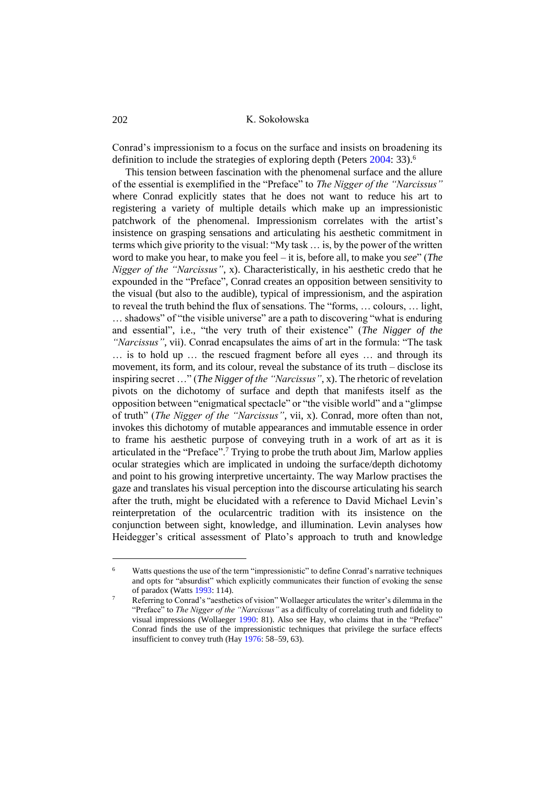Conrad's impressionism to a focus on the surface and insists on broadening its definition to include the strategies of exploring depth (Peters [2004:](#page-19-10) 33).<sup>6</sup>

This tension between fascination with the phenomenal surface and the allure of the essential is exemplified in the "Preface" to *The Nigger of the "Narcissus"* where Conrad explicitly states that he does not want to reduce his art to registering a variety of multiple details which make up an impressionistic patchwork of the phenomenal. Impressionism correlates with the artist's insistence on grasping sensations and articulating his aesthetic commitment in terms which give priority to the visual: "My task … is, by the power of the written word to make you hear, to make you feel – it is, before all, to make you *see*" (*The Nigger of the "Narcissus"*, x). Characteristically, in his aesthetic credo that he expounded in the "Preface", Conrad creates an opposition between sensitivity to the visual (but also to the audible), typical of impressionism, and the aspiration to reveal the truth behind the flux of sensations. The "forms, … colours, … light, … shadows" of "the visible universe" are a path to discovering "what is enduring and essential", i.e., "the very truth of their existence" (*The Nigger of the "Narcissus"*, vii). Conrad encapsulates the aims of art in the formula: "The task … is to hold up … the rescued fragment before all eyes … and through its movement, its form, and its colour, reveal the substance of its truth – disclose its inspiring secret …" (*The Nigger of the "Narcissus"*, x). The rhetoric of revelation pivots on the dichotomy of surface and depth that manifests itself as the opposition between "enigmatical spectacle" or "the visible world" and a "glimpse of truth" (*The Nigger of the "Narcissus"*, vii, x). Conrad, more often than not, invokes this dichotomy of mutable appearances and immutable essence in order to frame his aesthetic purpose of conveying truth in a work of art as it is articulated in the "Preface".<sup>7</sup> Trying to probe the truth about Jim, Marlow applies ocular strategies which are implicated in undoing the surface/depth dichotomy and point to his growing interpretive uncertainty. The way Marlow practises the gaze and translates his visual perception into the discourse articulating his search after the truth, might be elucidated with a reference to David Michael Levin's reinterpretation of the ocularcentric tradition with its insistence on the conjunction between sight, knowledge, and illumination. Levin analyses how Heidegger's critical assessment of Plato's approach to truth and knowledge

<sup>6</sup> Watts questions the use of the term "impressionistic" to define Conrad's narrative techniques and opts for "absurdist" which explicitly communicates their function of evoking the sense of paradox (Watts [1993:](#page-19-13) 114).

<sup>7</sup> Referring to Conrad's "aesthetics of vision" Wollaeger articulates the writer's dilemma in the "Preface" to *The Nigger of the "Narcissus"* as a difficulty of correlating truth and fidelity to visual impressions (Wollaeger [1990:](#page-19-6) 81). Also see Hay, who claims that in the "Preface" Conrad finds the use of the impressionistic techniques that privilege the surface effects insufficient to convey truth (Hay [1976:](#page-19-11) 58–59, 63).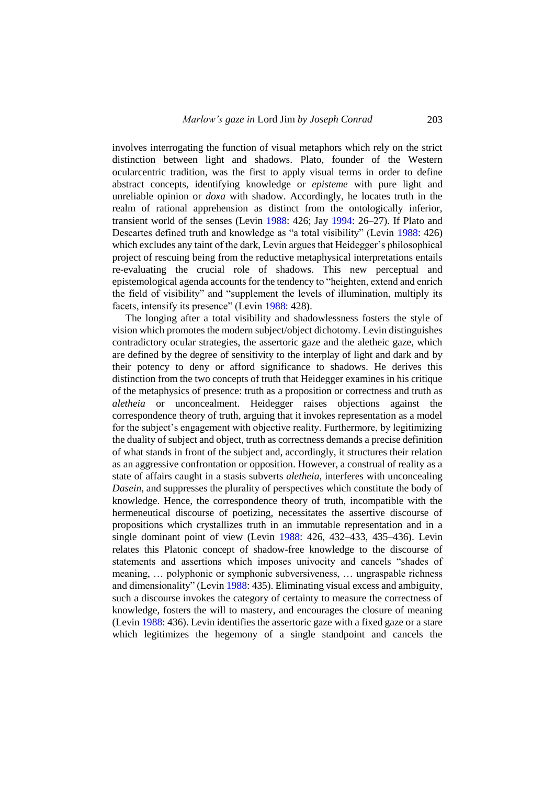involves interrogating the function of visual metaphors which rely on the strict distinction between light and shadows. Plato, founder of the Western ocularcentric tradition, was the first to apply visual terms in order to define abstract concepts, identifying knowledge or *episteme* with pure light and unreliable opinion or *doxa* with shadow. Accordingly, he locates truth in the realm of rational apprehension as distinct from the ontologically inferior, transient world of the senses (Levin [1988:](#page-19-14) 426; Jay [1994:](#page-19-15) 26–27). If Plato and Descartes defined truth and knowledge as "a total visibility" (Levin [1988:](#page-19-14) 426) which excludes any taint of the dark, Levin argues that Heidegger's philosophical project of rescuing being from the reductive metaphysical interpretations entails re-evaluating the crucial role of shadows. This new perceptual and epistemological agenda accounts for the tendency to "heighten, extend and enrich the field of visibility" and "supplement the levels of illumination, multiply its facets, intensify its presence" (Levin [1988:](#page-19-14) 428).

The longing after a total visibility and shadowlessness fosters the style of vision which promotes the modern subject/object dichotomy. Levin distinguishes contradictory ocular strategies, the assertoric gaze and the aletheic gaze, which are defined by the degree of sensitivity to the interplay of light and dark and by their potency to deny or afford significance to shadows. He derives this distinction from the two concepts of truth that Heidegger examines in his critique of the metaphysics of presence: truth as a proposition or correctness and truth as *aletheia* or unconcealment. Heidegger raises objections against the correspondence theory of truth, arguing that it invokes representation as a model for the subject's engagement with objective reality. Furthermore, by legitimizing the duality of subject and object, truth as correctness demands a precise definition of what stands in front of the subject and, accordingly, it structures their relation as an aggressive confrontation or opposition. However, a construal of reality as a state of affairs caught in a stasis subverts *aletheia*, interferes with unconcealing *Dasein*, and suppresses the plurality of perspectives which constitute the body of knowledge. Hence, the correspondence theory of truth, incompatible with the hermeneutical discourse of poetizing, necessitates the assertive discourse of propositions which crystallizes truth in an immutable representation and in a single dominant point of view (Levin [1988:](#page-19-14) 426, 432–433, 435–436). Levin relates this Platonic concept of shadow-free knowledge to the discourse of statements and assertions which imposes univocity and cancels "shades of meaning, … polyphonic or symphonic subversiveness, … ungraspable richness and dimensionality" (Levin [1988:](#page-19-14) 435). Eliminating visual excess and ambiguity, such a discourse invokes the category of certainty to measure the correctness of knowledge, fosters the will to mastery, and encourages the closure of meaning (Levin [1988:](#page-19-14) 436). Levin identifies the assertoric gaze with a fixed gaze or a stare which legitimizes the hegemony of a single standpoint and cancels the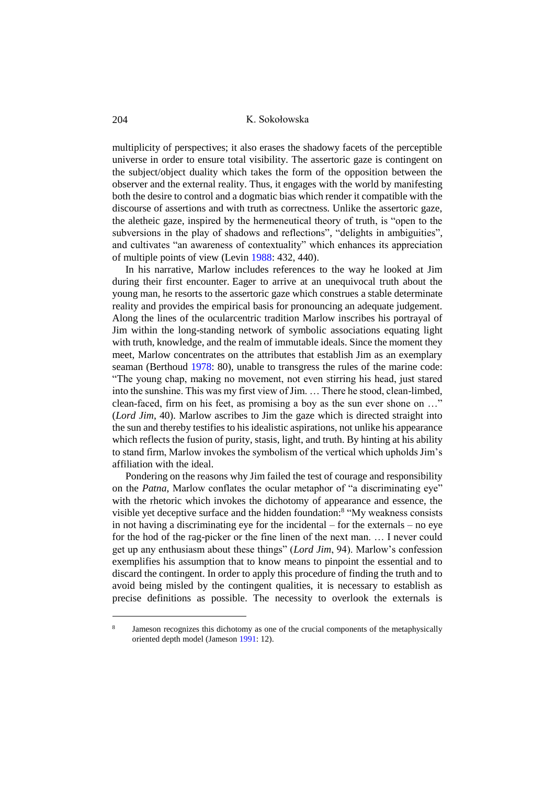multiplicity of perspectives; it also erases the shadowy facets of the perceptible universe in order to ensure total visibility. The assertoric gaze is contingent on the subject/object duality which takes the form of the opposition between the observer and the external reality. Thus, it engages with the world by manifesting both the desire to control and a dogmatic bias which render it compatible with the discourse of assertions and with truth as correctness. Unlike the assertoric gaze, the aletheic gaze, inspired by the hermeneutical theory of truth, is "open to the subversions in the play of shadows and reflections", "delights in ambiguities", and cultivates "an awareness of contextuality" which enhances its appreciation of multiple points of view (Levin [1988:](#page-19-14) 432, 440).

In his narrative, Marlow includes references to the way he looked at Jim during their first encounter. Eager to arrive at an unequivocal truth about the young man, he resorts to the assertoric gaze which construes a stable determinate reality and provides the empirical basis for pronouncing an adequate judgement. Along the lines of the ocularcentric tradition Marlow inscribes his portrayal of Jim within the long-standing network of symbolic associations equating light with truth, knowledge, and the realm of immutable ideals. Since the moment they meet, Marlow concentrates on the attributes that establish Jim as an exemplary seaman (Berthoud [1978:](#page-18-3) 80), unable to transgress the rules of the marine code: "The young chap, making no movement, not even stirring his head, just stared into the sunshine. This was my first view of Jim. … There he stood, clean-limbed, clean-faced, firm on his feet, as promising a boy as the sun ever shone on …" (*Lord Jim*, 40). Marlow ascribes to Jim the gaze which is directed straight into the sun and thereby testifies to his idealistic aspirations, not unlike his appearance which reflects the fusion of purity, stasis, light, and truth. By hinting at his ability to stand firm, Marlow invokes the symbolism of the vertical which upholds Jim's affiliation with the ideal.

Pondering on the reasons why Jim failed the test of courage and responsibility on the *Patna*, Marlow conflates the ocular metaphor of "a discriminating eye" with the rhetoric which invokes the dichotomy of appearance and essence, the visible yet deceptive surface and the hidden foundation:<sup>8</sup> "My weakness consists in not having a discriminating eye for the incidental – for the externals – no eye for the hod of the rag-picker or the fine linen of the next man. … I never could get up any enthusiasm about these things" (*Lord Jim*, 94). Marlow's confession exemplifies his assumption that to know means to pinpoint the essential and to discard the contingent. In order to apply this procedure of finding the truth and to avoid being misled by the contingent qualities, it is necessary to establish as precise definitions as possible. The necessity to overlook the externals is

<sup>8</sup> Jameson recognizes this dichotomy as one of the crucial components of the metaphysically oriented depth model (Jameson [1991:](#page-19-16) 12).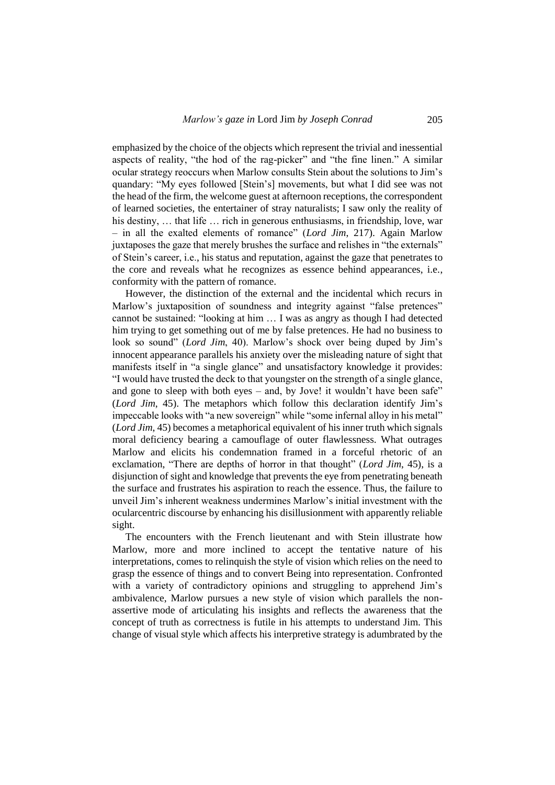emphasized by the choice of the objects which represent the trivial and inessential aspects of reality, "the hod of the rag-picker" and "the fine linen." A similar ocular strategy reoccurs when Marlow consults Stein about the solutions to Jim's quandary: "My eyes followed [Stein's] movements, but what I did see was not the head of the firm, the welcome guest at afternoon receptions, the correspondent of learned societies, the entertainer of stray naturalists; I saw only the reality of his destiny, ... that life ... rich in generous enthusiasms, in friendship, love, war – in all the exalted elements of romance" (*Lord Jim*, 217). Again Marlow juxtaposes the gaze that merely brushes the surface and relishes in "the externals" of Stein's career, i.e., his status and reputation, against the gaze that penetrates to the core and reveals what he recognizes as essence behind appearances, i.e., conformity with the pattern of romance.

However, the distinction of the external and the incidental which recurs in Marlow's juxtaposition of soundness and integrity against "false pretences" cannot be sustained: "looking at him … I was as angry as though I had detected him trying to get something out of me by false pretences. He had no business to look so sound" (*Lord Jim*, 40). Marlow's shock over being duped by Jim's innocent appearance parallels his anxiety over the misleading nature of sight that manifests itself in "a single glance" and unsatisfactory knowledge it provides: "I would have trusted the deck to that youngster on the strength of a single glance, and gone to sleep with both eyes – and, by Jove! it wouldn't have been safe" (*Lord Jim*, 45). The metaphors which follow this declaration identify Jim's impeccable looks with "a new sovereign" while "some infernal alloy in his metal" (*Lord Jim*, 45) becomes a metaphorical equivalent of his inner truth which signals moral deficiency bearing a camouflage of outer flawlessness. What outrages Marlow and elicits his condemnation framed in a forceful rhetoric of an exclamation, "There are depths of horror in that thought" (*Lord Jim*, 45), is a disjunction of sight and knowledge that prevents the eye from penetrating beneath the surface and frustrates his aspiration to reach the essence. Thus, the failure to unveil Jim's inherent weakness undermines Marlow's initial investment with the ocularcentric discourse by enhancing his disillusionment with apparently reliable sight.

The encounters with the French lieutenant and with Stein illustrate how Marlow, more and more inclined to accept the tentative nature of his interpretations, comes to relinquish the style of vision which relies on the need to grasp the essence of things and to convert Being into representation. Confronted with a variety of contradictory opinions and struggling to apprehend Jim's ambivalence, Marlow pursues a new style of vision which parallels the nonassertive mode of articulating his insights and reflects the awareness that the concept of truth as correctness is futile in his attempts to understand Jim. This change of visual style which affects his interpretive strategy is adumbrated by the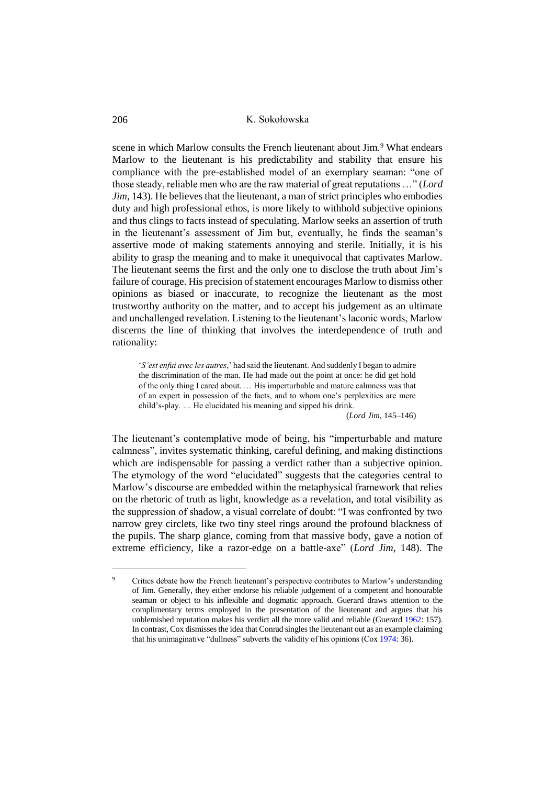scene in which Marlow consults the French lieutenant about Jim.<sup>9</sup> What endears Marlow to the lieutenant is his predictability and stability that ensure his compliance with the pre-established model of an exemplary seaman: "one of those steady, reliable men who are the raw material of great reputations …" (*Lord Jim*, 143). He believes that the lieutenant, a man of strict principles who embodies duty and high professional ethos, is more likely to withhold subjective opinions and thus clings to facts instead of speculating. Marlow seeks an assertion of truth in the lieutenant's assessment of Jim but, eventually, he finds the seaman's assertive mode of making statements annoying and sterile. Initially, it is his ability to grasp the meaning and to make it unequivocal that captivates Marlow. The lieutenant seems the first and the only one to disclose the truth about Jim's failure of courage. His precision of statement encourages Marlow to dismiss other opinions as biased or inaccurate, to recognize the lieutenant as the most trustworthy authority on the matter, and to accept his judgement as an ultimate and unchallenged revelation. Listening to the lieutenant's laconic words, Marlow discerns the line of thinking that involves the interdependence of truth and rationality:

'*S'est enfui avec les autres*,' had said the lieutenant. And suddenly I began to admire the discrimination of the man. He had made out the point at once: he did get hold of the only thing I cared about. … His imperturbable and mature calmness was that of an expert in possession of the facts, and to whom one's perplexities are mere child's-play. … He elucidated his meaning and sipped his drink.

(*Lord Jim*, 145–146)

The lieutenant's contemplative mode of being, his "imperturbable and mature calmness", invites systematic thinking, careful defining, and making distinctions which are indispensable for passing a verdict rather than a subjective opinion. The etymology of the word "elucidated" suggests that the categories central to Marlow's discourse are embedded within the metaphysical framework that relies on the rhetoric of truth as light, knowledge as a revelation, and total visibility as the suppression of shadow, a visual correlate of doubt: "I was confronted by two narrow grey circlets, like two tiny steel rings around the profound blackness of the pupils. The sharp glance, coming from that massive body, gave a notion of extreme efficiency, like a razor-edge on a battle-axe" (*Lord Jim*, 148). The

<sup>&</sup>lt;sup>9</sup> Critics debate how the French lieutenant's perspective contributes to Marlow's understanding of Jim. Generally, they either endorse his reliable judgement of a competent and honourable seaman or object to his inflexible and dogmatic approach. Guerard draws attention to the complimentary terms employed in the presentation of the lieutenant and argues that his unblemished reputation makes his verdict all the more valid and reliable (Guerard [1962:](#page-19-3) 157). In contrast, Cox dismisses the idea that Conrad singles the lieutenant out as an example claiming that his unimaginative "dullness" subverts the validity of his opinions (Co[x 1974:](#page-18-5) 36).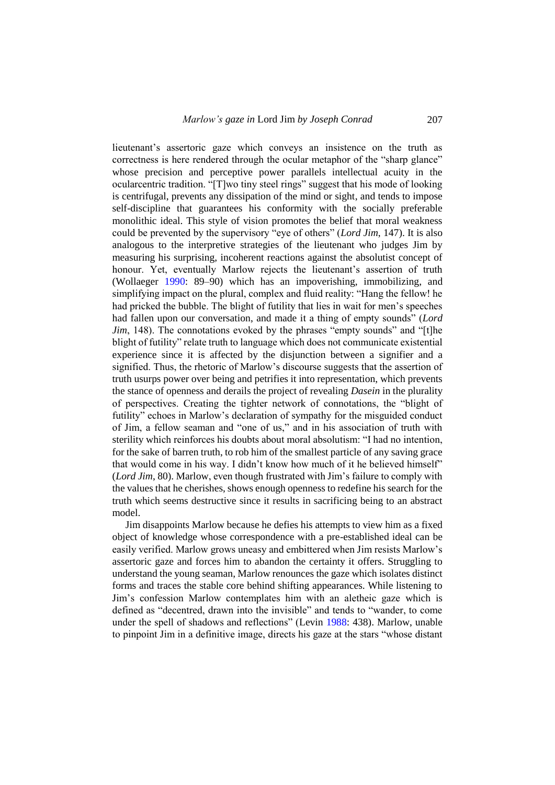lieutenant's assertoric gaze which conveys an insistence on the truth as correctness is here rendered through the ocular metaphor of the "sharp glance" whose precision and perceptive power parallels intellectual acuity in the ocularcentric tradition. "[T]wo tiny steel rings" suggest that his mode of looking is centrifugal, prevents any dissipation of the mind or sight, and tends to impose self-discipline that guarantees his conformity with the socially preferable monolithic ideal. This style of vision promotes the belief that moral weakness could be prevented by the supervisory "eye of others" (*Lord Jim*, 147). It is also analogous to the interpretive strategies of the lieutenant who judges Jim by measuring his surprising, incoherent reactions against the absolutist concept of honour. Yet, eventually Marlow rejects the lieutenant's assertion of truth (Wollaeger [1990:](#page-19-6) 89–90) which has an impoverishing, immobilizing, and simplifying impact on the plural, complex and fluid reality: "Hang the fellow! he had pricked the bubble. The blight of futility that lies in wait for men's speeches had fallen upon our conversation, and made it a thing of empty sounds" (*Lord Jim*, 148). The connotations evoked by the phrases "empty sounds" and "[t]he blight of futility" relate truth to language which does not communicate existential experience since it is affected by the disjunction between a signifier and a signified. Thus, the rhetoric of Marlow's discourse suggests that the assertion of truth usurps power over being and petrifies it into representation, which prevents the stance of openness and derails the project of revealing *Dasein* in the plurality of perspectives. Creating the tighter network of connotations, the "blight of futility" echoes in Marlow's declaration of sympathy for the misguided conduct of Jim, a fellow seaman and "one of us," and in his association of truth with sterility which reinforces his doubts about moral absolutism: "I had no intention, for the sake of barren truth, to rob him of the smallest particle of any saving grace that would come in his way. I didn't know how much of it he believed himself" (*Lord Jim*, 80). Marlow, even though frustrated with Jim's failure to comply with the values that he cherishes, shows enough openness to redefine his search for the truth which seems destructive since it results in sacrificing being to an abstract model.

Jim disappoints Marlow because he defies his attempts to view him as a fixed object of knowledge whose correspondence with a pre-established ideal can be easily verified. Marlow grows uneasy and embittered when Jim resists Marlow's assertoric gaze and forces him to abandon the certainty it offers. Struggling to understand the young seaman, Marlow renounces the gaze which isolates distinct forms and traces the stable core behind shifting appearances. While listening to Jim's confession Marlow contemplates him with an aletheic gaze which is defined as "decentred, drawn into the invisible" and tends to "wander, to come under the spell of shadows and reflections" (Levin [1988:](#page-19-14) 438). Marlow, unable to pinpoint Jim in a definitive image, directs his gaze at the stars "whose distant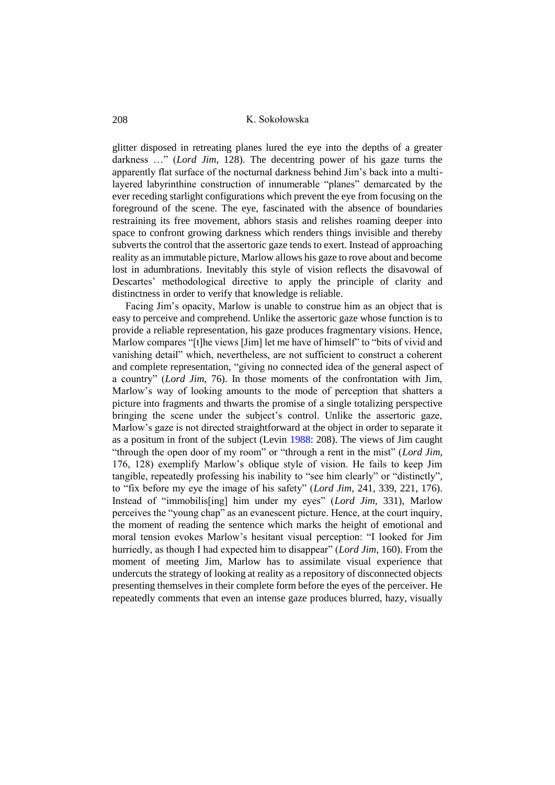glitter disposed in retreating planes lured the eye into the depths of a greater darkness …" (*Lord Jim*, 128). The decentring power of his gaze turns the apparently flat surface of the nocturnal darkness behind Jim's back into a multilayered labyrinthine construction of innumerable "planes" demarcated by the ever receding starlight configurations which prevent the eye from focusing on the foreground of the scene. The eye, fascinated with the absence of boundaries restraining its free movement, abhors stasis and relishes roaming deeper into space to confront growing darkness which renders things invisible and thereby subverts the control that the assertoric gaze tends to exert. Instead of approaching reality as an immutable picture, Marlow allows his gaze to rove about and become lost in adumbrations. Inevitably this style of vision reflects the disavowal of Descartes' methodological directive to apply the principle of clarity and distinctness in order to verify that knowledge is reliable.

Facing Jim's opacity, Marlow is unable to construe him as an object that is easy to perceive and comprehend. Unlike the assertoric gaze whose function is to provide a reliable representation, his gaze produces fragmentary visions. Hence, Marlow compares "[t]he views [Jim] let me have of himself" to "bits of vivid and vanishing detail" which, nevertheless, are not sufficient to construct a coherent and complete representation, "giving no connected idea of the general aspect of a country" (*Lord Jim*, 76). In those moments of the confrontation with Jim, Marlow's way of looking amounts to the mode of perception that shatters a picture into fragments and thwarts the promise of a single totalizing perspective bringing the scene under the subject's control. Unlike the assertoric gaze, Marlow's gaze is not directed straightforward at the object in order to separate it as a positum in front of the subject (Levin [1988:](#page-19-14) 208). The views of Jim caught "through the open door of my room" or "through a rent in the mist" (*Lord Jim*, 176, 128) exemplify Marlow's oblique style of vision. He fails to keep Jim tangible, repeatedly professing his inability to "see him clearly" or "distinctly", to "fix before my eye the image of his safety" (*Lord Jim*, 241, 339, 221, 176). Instead of "immobilis[ing] him under my eyes" (*Lord Jim*, 331), Marlow perceives the "young chap" as an evanescent picture. Hence, at the court inquiry, the moment of reading the sentence which marks the height of emotional and moral tension evokes Marlow's hesitant visual perception: "I looked for Jim hurriedly, as though I had expected him to disappear" (*Lord Jim*, 160). From the moment of meeting Jim, Marlow has to assimilate visual experience that undercuts the strategy of looking at reality as a repository of disconnected objects presenting themselves in their complete form before the eyes of the perceiver. He repeatedly comments that even an intense gaze produces blurred, hazy, visually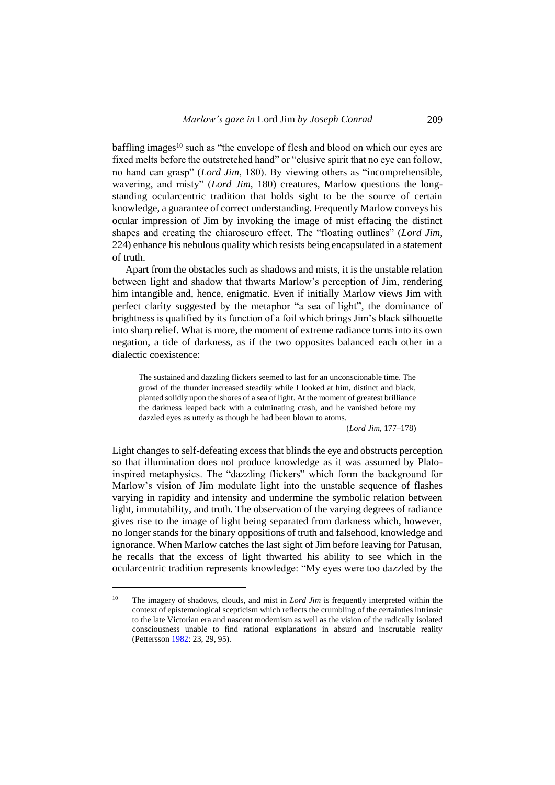baffling images<sup>10</sup> such as "the envelope of flesh and blood on which our eyes are fixed melts before the outstretched hand" or "elusive spirit that no eye can follow, no hand can grasp" (*Lord Jim*, 180). By viewing others as "incomprehensible, wavering, and misty" (*Lord Jim*, 180) creatures, Marlow questions the longstanding ocularcentric tradition that holds sight to be the source of certain knowledge, a guarantee of correct understanding. Frequently Marlow conveys his ocular impression of Jim by invoking the image of mist effacing the distinct shapes and creating the chiaroscuro effect. The "floating outlines" (*Lord Jim*, 224) enhance his nebulous quality which resists being encapsulated in a statement of truth.

Apart from the obstacles such as shadows and mists, it is the unstable relation between light and shadow that thwarts Marlow's perception of Jim, rendering him intangible and, hence, enigmatic. Even if initially Marlow views Jim with perfect clarity suggested by the metaphor "a sea of light", the dominance of brightness is qualified by its function of a foil which brings Jim's black silhouette into sharp relief. What is more, the moment of extreme radiance turns into its own negation, a tide of darkness, as if the two opposites balanced each other in a dialectic coexistence:

The sustained and dazzling flickers seemed to last for an unconscionable time. The growl of the thunder increased steadily while I looked at him, distinct and black, planted solidly upon the shores of a sea of light. At the moment of greatest brilliance the darkness leaped back with a culminating crash, and he vanished before my dazzled eyes as utterly as though he had been blown to atoms.

(*Lord Jim*, 177–178)

Light changes to self-defeating excess that blinds the eye and obstructs perception so that illumination does not produce knowledge as it was assumed by Platoinspired metaphysics. The "dazzling flickers" which form the background for Marlow's vision of Jim modulate light into the unstable sequence of flashes varying in rapidity and intensity and undermine the symbolic relation between light, immutability, and truth. The observation of the varying degrees of radiance gives rise to the image of light being separated from darkness which, however, no longer stands for the binary oppositions of truth and falsehood, knowledge and ignorance. When Marlow catches the last sight of Jim before leaving for Patusan, he recalls that the excess of light thwarted his ability to see which in the ocularcentric tradition represents knowledge: "My eyes were too dazzled by the

<sup>&</sup>lt;sup>10</sup> The imagery of shadows, clouds, and mist in *Lord Jim* is frequently interpreted within the context of epistemological scepticism which reflects the crumbling of the certainties intrinsic to the late Victorian era and nascent modernism as well as the vision of the radically isolated consciousness unable to find rational explanations in absurd and inscrutable reality (Pettersson [1982:](#page-19-17) 23, 29, 95).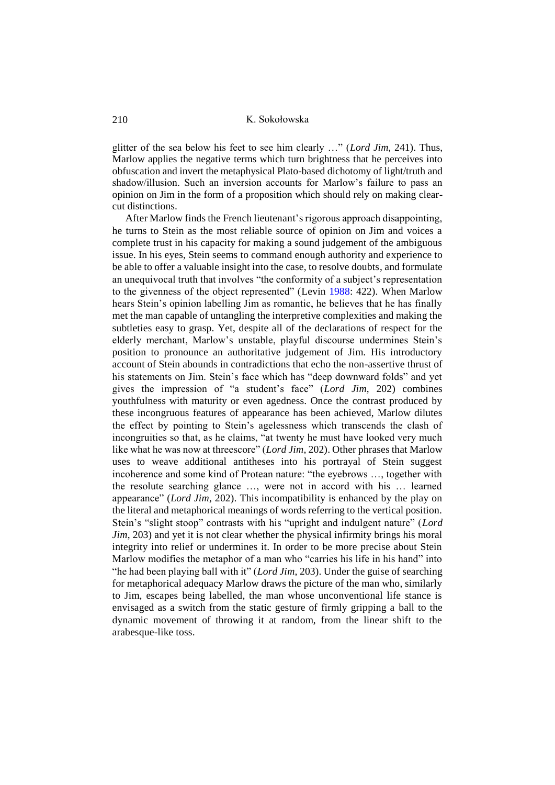glitter of the sea below his feet to see him clearly …" (*Lord Jim*, 241). Thus, Marlow applies the negative terms which turn brightness that he perceives into obfuscation and invert the metaphysical Plato-based dichotomy of light/truth and shadow/illusion. Such an inversion accounts for Marlow's failure to pass an opinion on Jim in the form of a proposition which should rely on making clearcut distinctions.

After Marlow finds the French lieutenant's rigorous approach disappointing, he turns to Stein as the most reliable source of opinion on Jim and voices a complete trust in his capacity for making a sound judgement of the ambiguous issue. In his eyes, Stein seems to command enough authority and experience to be able to offer a valuable insight into the case, to resolve doubts, and formulate an unequivocal truth that involves "the conformity of a subject's representation to the givenness of the object represented" (Levin [1988:](#page-19-14) 422). When Marlow hears Stein's opinion labelling Jim as romantic, he believes that he has finally met the man capable of untangling the interpretive complexities and making the subtleties easy to grasp. Yet, despite all of the declarations of respect for the elderly merchant, Marlow's unstable, playful discourse undermines Stein's position to pronounce an authoritative judgement of Jim. His introductory account of Stein abounds in contradictions that echo the non-assertive thrust of his statements on Jim. Stein's face which has "deep downward folds" and yet gives the impression of "a student's face" (*Lord Jim*, 202) combines youthfulness with maturity or even agedness. Once the contrast produced by these incongruous features of appearance has been achieved, Marlow dilutes the effect by pointing to Stein's agelessness which transcends the clash of incongruities so that, as he claims, "at twenty he must have looked very much like what he was now at threescore" (*Lord Jim*, 202). Other phrases that Marlow uses to weave additional antitheses into his portrayal of Stein suggest incoherence and some kind of Protean nature: "the eyebrows …, together with the resolute searching glance …, were not in accord with his … learned appearance" (*Lord Jim*, 202). This incompatibility is enhanced by the play on the literal and metaphorical meanings of words referring to the vertical position. Stein's "slight stoop" contrasts with his "upright and indulgent nature" (*Lord Jim*, 203) and yet it is not clear whether the physical infirmity brings his moral integrity into relief or undermines it. In order to be more precise about Stein Marlow modifies the metaphor of a man who "carries his life in his hand" into "he had been playing ball with it" (*Lord Jim*, 203). Under the guise of searching for metaphorical adequacy Marlow draws the picture of the man who, similarly to Jim, escapes being labelled, the man whose unconventional life stance is envisaged as a switch from the static gesture of firmly gripping a ball to the dynamic movement of throwing it at random, from the linear shift to the arabesque-like toss.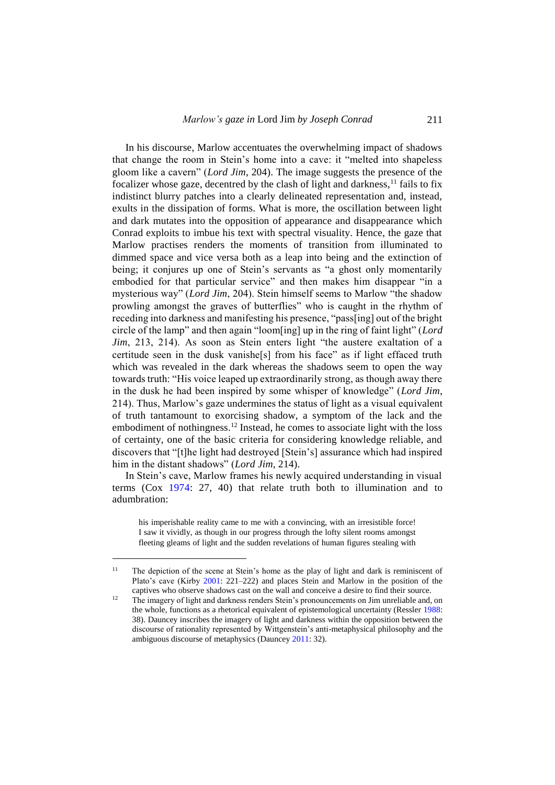In his discourse, Marlow accentuates the overwhelming impact of shadows that change the room in Stein's home into a cave: it "melted into shapeless gloom like a cavern" (*Lord Jim*, 204). The image suggests the presence of the focalizer whose gaze, decentred by the clash of light and darkness,  $^{11}$  fails to fix indistinct blurry patches into a clearly delineated representation and, instead, exults in the dissipation of forms. What is more, the oscillation between light and dark mutates into the opposition of appearance and disappearance which Conrad exploits to imbue his text with spectral visuality. Hence, the gaze that Marlow practises renders the moments of transition from illuminated to dimmed space and vice versa both as a leap into being and the extinction of being; it conjures up one of Stein's servants as "a ghost only momentarily embodied for that particular service" and then makes him disappear "in a mysterious way" (*Lord Jim*, 204). Stein himself seems to Marlow "the shadow prowling amongst the graves of butterflies" who is caught in the rhythm of receding into darkness and manifesting his presence, "pass[ing] out of the bright circle of the lamp" and then again "loom[ing] up in the ring of faint light" (*Lord Jim*, 213, 214). As soon as Stein enters light "the austere exaltation of a certitude seen in the dusk vanishe[s] from his face" as if light effaced truth which was revealed in the dark whereas the shadows seem to open the way towards truth: "His voice leaped up extraordinarily strong, as though away there in the dusk he had been inspired by some whisper of knowledge" (*Lord Jim*, 214). Thus, Marlow's gaze undermines the status of light as a visual equivalent of truth tantamount to exorcising shadow, a symptom of the lack and the embodiment of nothingness.<sup>12</sup> Instead, he comes to associate light with the loss of certainty, one of the basic criteria for considering knowledge reliable, and discovers that "[t]he light had destroyed [Stein's] assurance which had inspired him in the distant shadows" (*Lord Jim*, 214).

In Stein's cave, Marlow frames his newly acquired understanding in visual terms (Cox [1974:](#page-18-5) 27, 40) that relate truth both to illumination and to adumbration:

his imperishable reality came to me with a convincing, with an irresistible force! I saw it vividly, as though in our progress through the lofty silent rooms amongst fleeting gleams of light and the sudden revelations of human figures stealing with

<sup>&</sup>lt;sup>11</sup> The depiction of the scene at Stein's home as the play of light and dark is reminiscent of Plato's cave (Kirby [2001:](#page-19-18) 221–222) and places Stein and Marlow in the position of the captives who observe shadows cast on the wall and conceive a desire to find their source.

<sup>&</sup>lt;sup>12</sup> The imagery of light and darkness renders Stein's pronouncements on Jim unreliable and, on the whole, functions as a rhetorical equivalent of epistemological uncertainty (Ressler [1988:](#page-19-19) 38). Dauncey inscribes the imagery of light and darkness within the opposition between the discourse of rationality represented by Wittgenstein's anti-metaphysical philosophy and the ambiguous discourse of metaphysics (Daunce[y 2011:](#page-18-6) 32).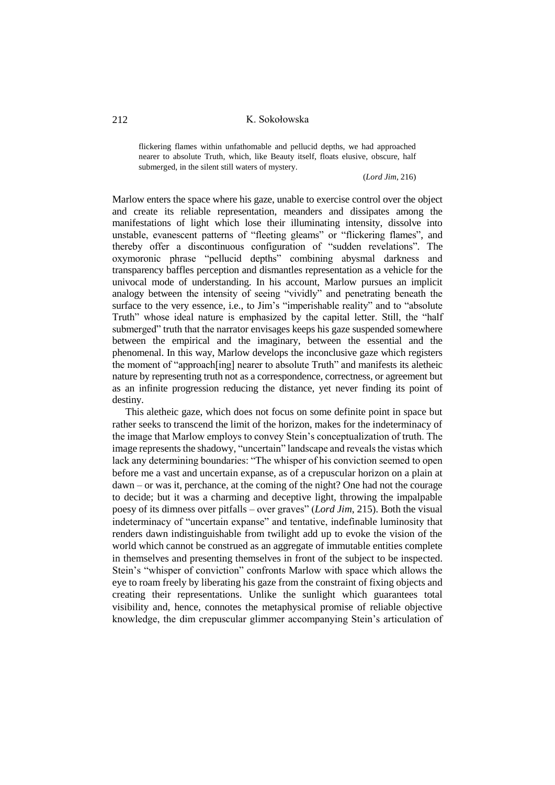flickering flames within unfathomable and pellucid depths, we had approached nearer to absolute Truth, which, like Beauty itself, floats elusive, obscure, half submerged, in the silent still waters of mystery.

### (*Lord Jim*, 216)

Marlow enters the space where his gaze, unable to exercise control over the object and create its reliable representation, meanders and dissipates among the manifestations of light which lose their illuminating intensity, dissolve into unstable, evanescent patterns of "fleeting gleams" or "flickering flames", and thereby offer a discontinuous configuration of "sudden revelations". The oxymoronic phrase "pellucid depths" combining abysmal darkness and transparency baffles perception and dismantles representation as a vehicle for the univocal mode of understanding. In his account, Marlow pursues an implicit analogy between the intensity of seeing "vividly" and penetrating beneath the surface to the very essence, i.e., to Jim's "imperishable reality" and to "absolute Truth" whose ideal nature is emphasized by the capital letter. Still, the "half submerged" truth that the narrator envisages keeps his gaze suspended somewhere between the empirical and the imaginary, between the essential and the phenomenal. In this way, Marlow develops the inconclusive gaze which registers the moment of "approach[ing] nearer to absolute Truth" and manifests its aletheic nature by representing truth not as a correspondence, correctness, or agreement but as an infinite progression reducing the distance, yet never finding its point of destiny.

This aletheic gaze, which does not focus on some definite point in space but rather seeks to transcend the limit of the horizon, makes for the indeterminacy of the image that Marlow employs to convey Stein's conceptualization of truth. The image represents the shadowy, "uncertain" landscape and reveals the vistas which lack any determining boundaries: "The whisper of his conviction seemed to open before me a vast and uncertain expanse, as of a crepuscular horizon on a plain at dawn – or was it, perchance, at the coming of the night? One had not the courage to decide; but it was a charming and deceptive light, throwing the impalpable poesy of its dimness over pitfalls – over graves" (*Lord Jim*, 215). Both the visual indeterminacy of "uncertain expanse" and tentative, indefinable luminosity that renders dawn indistinguishable from twilight add up to evoke the vision of the world which cannot be construed as an aggregate of immutable entities complete in themselves and presenting themselves in front of the subject to be inspected. Stein's "whisper of conviction" confronts Marlow with space which allows the eye to roam freely by liberating his gaze from the constraint of fixing objects and creating their representations. Unlike the sunlight which guarantees total visibility and, hence, connotes the metaphysical promise of reliable objective knowledge, the dim crepuscular glimmer accompanying Stein's articulation of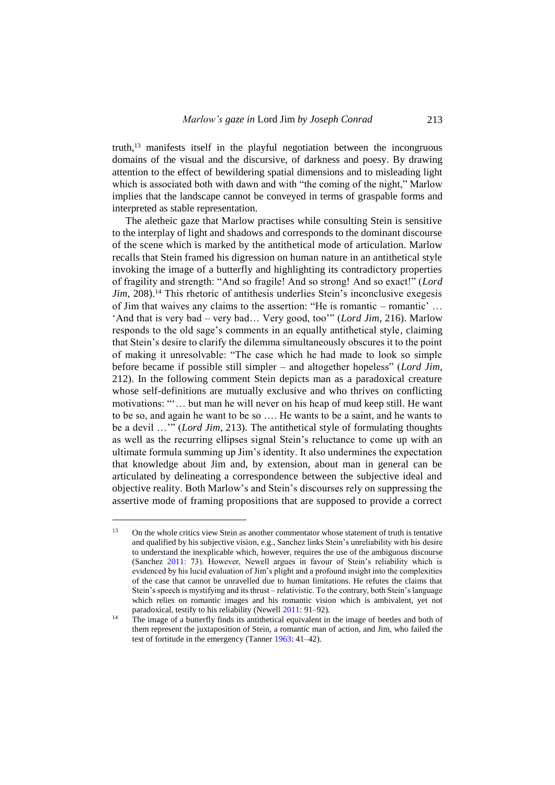truth,<sup>13</sup> manifests itself in the playful negotiation between the incongruous domains of the visual and the discursive, of darkness and poesy. By drawing attention to the effect of bewildering spatial dimensions and to misleading light which is associated both with dawn and with "the coming of the night," Marlow implies that the landscape cannot be conveyed in terms of graspable forms and interpreted as stable representation.

The aletheic gaze that Marlow practises while consulting Stein is sensitive to the interplay of light and shadows and corresponds to the dominant discourse of the scene which is marked by the antithetical mode of articulation. Marlow recalls that Stein framed his digression on human nature in an antithetical style invoking the image of a butterfly and highlighting its contradictory properties of fragility and strength: "And so fragile! And so strong! And so exact!" (*Lord Jim*, 208).<sup>14</sup> This rhetoric of antithesis underlies Stein's inconclusive exegesis of Jim that waives any claims to the assertion: "He is romantic – romantic'  $\dots$ 'And that is very bad – very bad… Very good, too'" (*Lord Jim*, 216). Marlow responds to the old sage's comments in an equally antithetical style, claiming that Stein's desire to clarify the dilemma simultaneously obscures it to the point of making it unresolvable: "The case which he had made to look so simple before became if possible still simpler – and altogether hopeless" (*Lord Jim*, 212). In the following comment Stein depicts man as a paradoxical creature whose self-definitions are mutually exclusive and who thrives on conflicting motivations: "'… but man he will never on his heap of mud keep still. He want to be so, and again he want to be so …. He wants to be a saint, and he wants to be a devil …'" (*Lord Jim*, 213). The antithetical style of formulating thoughts as well as the recurring ellipses signal Stein's reluctance to come up with an ultimate formula summing up Jim's identity. It also undermines the expectation that knowledge about Jim and, by extension, about man in general can be articulated by delineating a correspondence between the subjective ideal and objective reality. Both Marlow's and Stein's discourses rely on suppressing the assertive mode of framing propositions that are supposed to provide a correct

<sup>&</sup>lt;sup>13</sup> On the whole critics view Stein as another commentator whose statement of truth is tentative and qualified by his subjective vision, e.g., Sanchez links Stein's unreliability with his desire to understand the inexplicable which, however, requires the use of the ambiguous discourse (Sanchez [2011:](#page-19-20) 73). However, Newell argues in favour of Stein's reliability which is evidenced by his lucid evaluation of Jim's plight and a profound insight into the complexities of the case that cannot be unravelled due to human limitations. He refutes the claims that Stein's speech is mystifying and its thrust – relativistic. To the contrary, both Stein's language which relies on romantic images and his romantic vision which is ambivalent, yet not paradoxical, testify to his reliability (Newel[l 2011:](#page-19-21) 91–92).

<sup>&</sup>lt;sup>14</sup> The image of a butterfly finds its antithetical equivalent in the image of beetles and both of them represent the juxtaposition of Stein, a romantic man of action, and Jim, who failed the test of fortitude in the emergency (Tanne[r 1963:](#page-19-22) 41–42).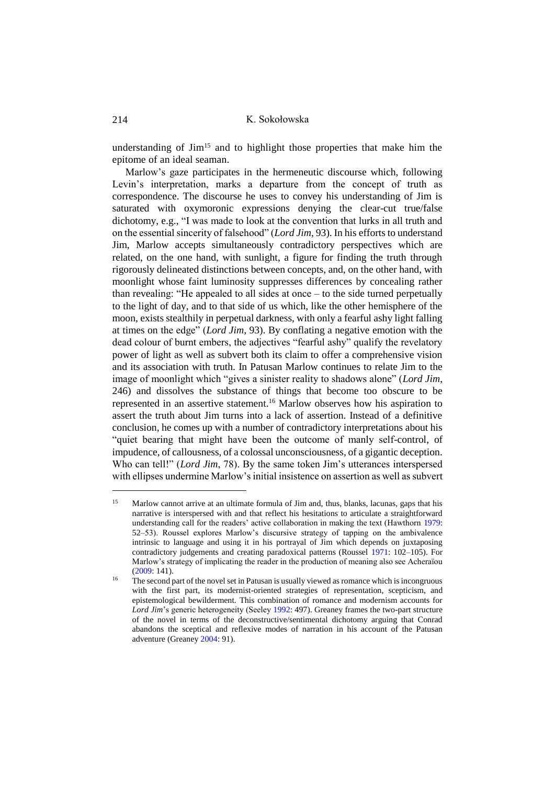understanding of Jim<sup>15</sup> and to highlight those properties that make him the epitome of an ideal seaman.

Marlow's gaze participates in the hermeneutic discourse which, following Levin's interpretation, marks a departure from the concept of truth as correspondence. The discourse he uses to convey his understanding of Jim is saturated with oxymoronic expressions denying the clear-cut true/false dichotomy, e.g., "I was made to look at the convention that lurks in all truth and on the essential sincerity of falsehood" (*Lord Jim*, 93). In his efforts to understand Jim, Marlow accepts simultaneously contradictory perspectives which are related, on the one hand, with sunlight, a figure for finding the truth through rigorously delineated distinctions between concepts, and, on the other hand, with moonlight whose faint luminosity suppresses differences by concealing rather than revealing: "He appealed to all sides at once – to the side turned perpetually to the light of day, and to that side of us which, like the other hemisphere of the moon, exists stealthily in perpetual darkness, with only a fearful ashy light falling at times on the edge" (*Lord Jim*, 93). By conflating a negative emotion with the dead colour of burnt embers, the adjectives "fearful ashy" qualify the revelatory power of light as well as subvert both its claim to offer a comprehensive vision and its association with truth. In Patusan Marlow continues to relate Jim to the image of moonlight which "gives a sinister reality to shadows alone" (*Lord Jim*, 246) and dissolves the substance of things that become too obscure to be represented in an assertive statement.<sup>16</sup> Marlow observes how his aspiration to assert the truth about Jim turns into a lack of assertion. Instead of a definitive conclusion, he comes up with a number of contradictory interpretations about his "quiet bearing that might have been the outcome of manly self-control, of impudence, of callousness, of a colossal unconsciousness, of a gigantic deception. Who can tell!" (*Lord Jim*, 78). By the same token Jim's utterances interspersed with ellipses undermine Marlow's initial insistence on assertion as well as subvert

<sup>&</sup>lt;sup>15</sup> Marlow cannot arrive at an ultimate formula of Jim and, thus, blanks, lacunas, gaps that his narrative is interspersed with and that reflect his hesitations to articulate a straightforward understanding call for the readers' active collaboration in making the text (Hawthorn [1979:](#page-19-23)  52–53). Roussel explores Marlow's discursive strategy of tapping on the ambivalence intrinsic to language and using it in his portrayal of Jim which depends on juxtaposing contradictory judgements and creating paradoxical patterns (Roussel [1971:](#page-19-24) 102–105). For Marlow's strategy of implicating the reader in the production of meaning also see Acheraïou  $(2009:141)$  $(2009:141)$ .

 $16$  The second part of the novel set in Patusan is usually viewed as romance which is incongruous with the first part, its modernist-oriented strategies of representation, scepticism, and epistemological bewilderment. This combination of romance and modernism accounts for *Lord Jim*'s generic heterogeneity (Seeley [1992:](#page-19-25) 497). Greaney frames the two-part structure of the novel in terms of the deconstructive/sentimental dichotomy arguing that Conrad abandons the sceptical and reflexive modes of narration in his account of the Patusan adventure (Greane[y 2004:](#page-19-4) 91).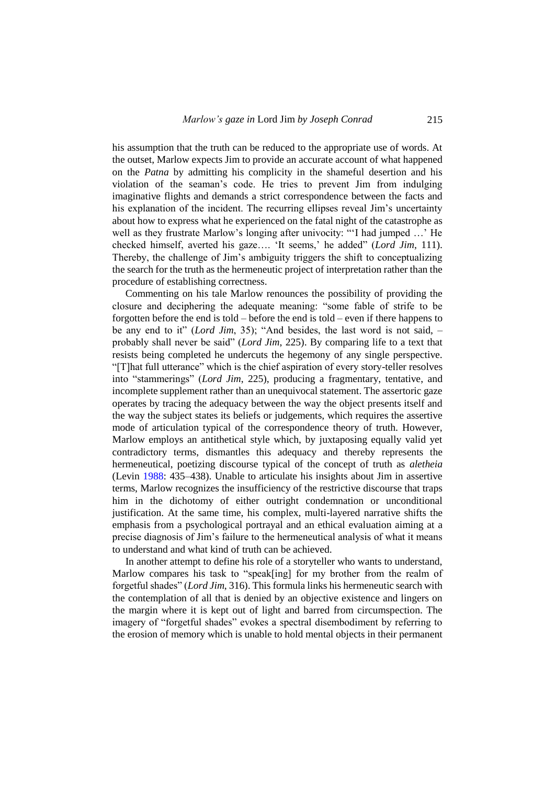his assumption that the truth can be reduced to the appropriate use of words. At the outset, Marlow expects Jim to provide an accurate account of what happened on the *Patna* by admitting his complicity in the shameful desertion and his violation of the seaman's code. He tries to prevent Jim from indulging imaginative flights and demands a strict correspondence between the facts and his explanation of the incident. The recurring ellipses reveal Jim's uncertainty about how to express what he experienced on the fatal night of the catastrophe as well as they frustrate Marlow's longing after univocity: "'I had jumped …' He checked himself, averted his gaze…. 'It seems,' he added" (*Lord Jim*, 111). Thereby, the challenge of Jim's ambiguity triggers the shift to conceptualizing the search for the truth as the hermeneutic project of interpretation rather than the procedure of establishing correctness.

Commenting on his tale Marlow renounces the possibility of providing the closure and deciphering the adequate meaning: "some fable of strife to be forgotten before the end is told – before the end is told – even if there happens to be any end to it" (*Lord Jim*, 35); "And besides, the last word is not said, – probably shall never be said" (*Lord Jim*, 225). By comparing life to a text that resists being completed he undercuts the hegemony of any single perspective. "[T]hat full utterance" which is the chief aspiration of every story-teller resolves into "stammerings" (*Lord Jim*, 225), producing a fragmentary, tentative, and incomplete supplement rather than an unequivocal statement. The assertoric gaze operates by tracing the adequacy between the way the object presents itself and the way the subject states its beliefs or judgements, which requires the assertive mode of articulation typical of the correspondence theory of truth. However, Marlow employs an antithetical style which, by juxtaposing equally valid yet contradictory terms, dismantles this adequacy and thereby represents the hermeneutical, poetizing discourse typical of the concept of truth as *aletheia* (Levin [1988:](#page-19-14) 435–438). Unable to articulate his insights about Jim in assertive terms, Marlow recognizes the insufficiency of the restrictive discourse that traps him in the dichotomy of either outright condemnation or unconditional justification. At the same time, his complex, multi-layered narrative shifts the emphasis from a psychological portrayal and an ethical evaluation aiming at a precise diagnosis of Jim's failure to the hermeneutical analysis of what it means to understand and what kind of truth can be achieved.

In another attempt to define his role of a storyteller who wants to understand, Marlow compares his task to "speak[ing] for my brother from the realm of forgetful shades" (*Lord Jim*, 316). This formula links his hermeneutic search with the contemplation of all that is denied by an objective existence and lingers on the margin where it is kept out of light and barred from circumspection. The imagery of "forgetful shades" evokes a spectral disembodiment by referring to the erosion of memory which is unable to hold mental objects in their permanent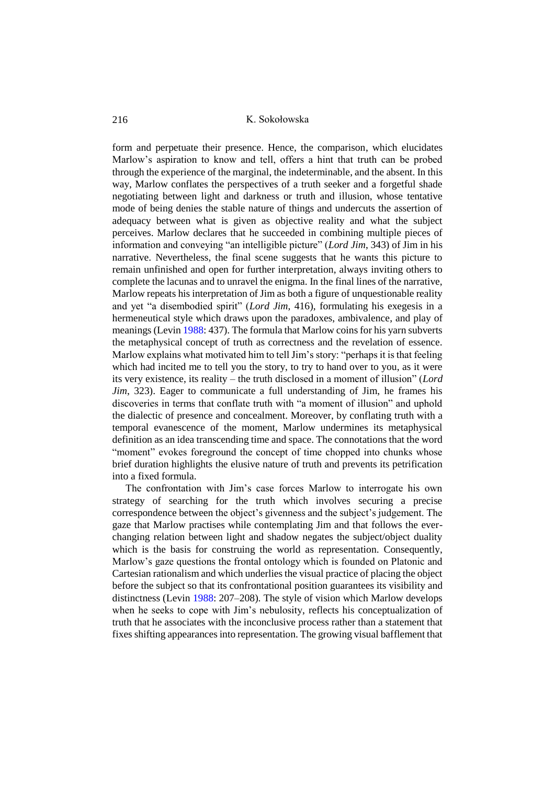form and perpetuate their presence. Hence, the comparison, which elucidates Marlow's aspiration to know and tell, offers a hint that truth can be probed through the experience of the marginal, the indeterminable, and the absent. In this way, Marlow conflates the perspectives of a truth seeker and a forgetful shade negotiating between light and darkness or truth and illusion, whose tentative mode of being denies the stable nature of things and undercuts the assertion of adequacy between what is given as objective reality and what the subject perceives. Marlow declares that he succeeded in combining multiple pieces of information and conveying "an intelligible picture" (*Lord Jim*, 343) of Jim in his narrative. Nevertheless, the final scene suggests that he wants this picture to remain unfinished and open for further interpretation, always inviting others to complete the lacunas and to unravel the enigma. In the final lines of the narrative, Marlow repeats his interpretation of Jim as both a figure of unquestionable reality and yet "a disembodied spirit" (*Lord Jim*, 416), formulating his exegesis in a hermeneutical style which draws upon the paradoxes, ambivalence, and play of meanings (Levi[n 1988:](#page-19-14) 437). The formula that Marlow coins for his yarn subverts the metaphysical concept of truth as correctness and the revelation of essence. Marlow explains what motivated him to tell Jim's story: "perhaps it is that feeling which had incited me to tell you the story, to try to hand over to you, as it were its very existence, its reality – the truth disclosed in a moment of illusion" (*Lord Jim*, 323). Eager to communicate a full understanding of Jim, he frames his discoveries in terms that conflate truth with "a moment of illusion" and uphold the dialectic of presence and concealment. Moreover, by conflating truth with a temporal evanescence of the moment, Marlow undermines its metaphysical definition as an idea transcending time and space. The connotations that the word "moment" evokes foreground the concept of time chopped into chunks whose brief duration highlights the elusive nature of truth and prevents its petrification into a fixed formula.

The confrontation with Jim's case forces Marlow to interrogate his own strategy of searching for the truth which involves securing a precise correspondence between the object's givenness and the subject's judgement. The gaze that Marlow practises while contemplating Jim and that follows the everchanging relation between light and shadow negates the subject/object duality which is the basis for construing the world as representation. Consequently, Marlow's gaze questions the frontal ontology which is founded on Platonic and Cartesian rationalism and which underlies the visual practice of placing the object before the subject so that its confrontational position guarantees its visibility and distinctness (Levin [1988:](#page-19-14) 207–208). The style of vision which Marlow develops when he seeks to cope with Jim's nebulosity, reflects his conceptualization of truth that he associates with the inconclusive process rather than a statement that fixes shifting appearances into representation. The growing visual bafflement that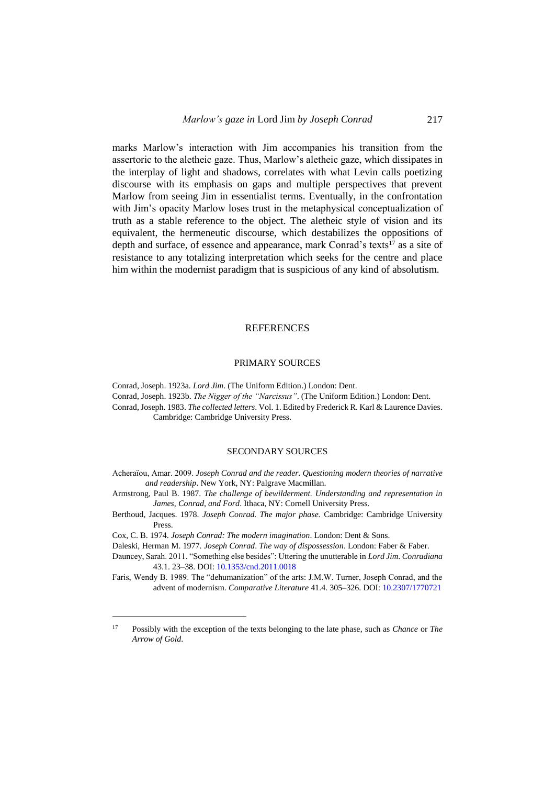marks Marlow's interaction with Jim accompanies his transition from the assertoric to the aletheic gaze. Thus, Marlow's aletheic gaze, which dissipates in the interplay of light and shadows, correlates with what Levin calls poetizing discourse with its emphasis on gaps and multiple perspectives that prevent Marlow from seeing Jim in essentialist terms. Eventually, in the confrontation with Jim's opacity Marlow loses trust in the metaphysical conceptualization of truth as a stable reference to the object. The aletheic style of vision and its equivalent, the hermeneutic discourse, which destabilizes the oppositions of depth and surface, of essence and appearance, mark Conrad's texts<sup>17</sup> as a site of resistance to any totalizing interpretation which seeks for the centre and place him within the modernist paradigm that is suspicious of any kind of absolutism.

### REFERENCES

### PRIMARY SOURCES

Conrad, Joseph. 1923a. *Lord Jim*. (The Uniform Edition.) London: Dent. Conrad, Joseph. 1923b. *The Nigger of the "Narcissus"*. (The Uniform Edition.) London: Dent. Conrad, Joseph. 1983. *The collected letters*. Vol. 1. Edited by Frederick R. Karl & Laurence Davies. Cambridge: Cambridge University Press.

#### SECONDARY SOURCES

- <span id="page-18-4"></span>Acheraïou, Amar. 2009. *Joseph Conrad and the reader. Questioning modern theories of narrative and readership*. New York, NY: Palgrave Macmillan.
- <span id="page-18-0"></span>Armstrong, Paul B. 1987. *The challenge of bewilderment. Understanding and representation in James, Conrad, and Ford*. Ithaca, NY: Cornell University Press.
- <span id="page-18-3"></span>Berthoud, Jacques. 1978. *Joseph Conrad. The major phase.* Cambridge: Cambridge University Press.

 $\overline{a}$ 

<span id="page-18-2"></span>Daleski, Herman M. 1977. *Joseph Conrad*. *The way of dispossession*. London: Faber & Faber.

<span id="page-18-6"></span>Dauncey, Sarah. 2011. "Something else besides": Uttering the unutterable in *Lord Jim*. *Conradiana* 43.1. 23–38. DOI[: 10.1353/cnd.2011.0018](https://doi.org/10.1353/cnd.2011.0018)

<span id="page-18-1"></span>Faris, Wendy B. 1989. The "dehumanization" of the arts: J.M.W. Turner, Joseph Conrad, and the advent of modernism. *Comparative Literature* 41.4. 305–326. DOI[: 10.2307/1770721](https://doi.org/10.2307/1770721)

<span id="page-18-5"></span>Cox, C. B. 1974. *Joseph Conrad: The modern imagination*. London: Dent & Sons.

<sup>17</sup> Possibly with the exception of the texts belonging to the late phase, such as *Chance* or *The Arrow of Gold*.